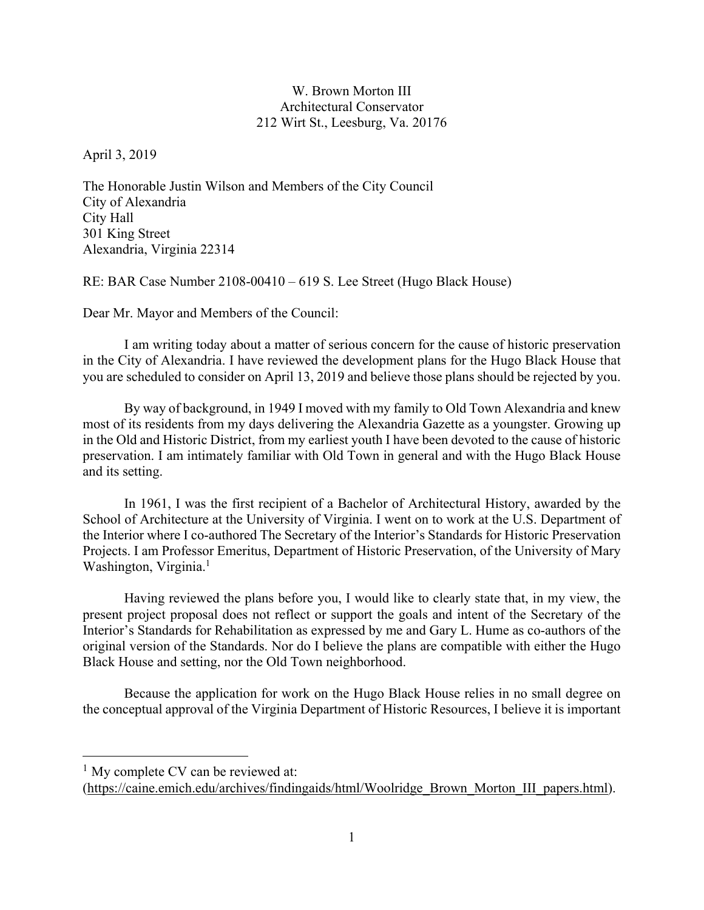## W. Brown Morton III Architectural Conservator 212 Wirt St., Leesburg, Va. 20176

April 3, 2019

The Honorable Justin Wilson and Members of the City Council City of Alexandria City Hall 301 King Street Alexandria, Virginia 22314

RE: BAR Case Number 2108-00410 – 619 S. Lee Street (Hugo Black House)

Dear Mr. Mayor and Members of the Council:

 I am writing today about a matter of serious concern for the cause of historic preservation in the City of Alexandria. I have reviewed the development plans for the Hugo Black House that you are scheduled to consider on April 13, 2019 and believe those plans should be rejected by you.

 By way of background, in 1949 I moved with my family to Old Town Alexandria and knew most of its residents from my days delivering the Alexandria Gazette as a youngster. Growing up in the Old and Historic District, from my earliest youth I have been devoted to the cause of historic preservation. I am intimately familiar with Old Town in general and with the Hugo Black House and its setting.

 In 1961, I was the first recipient of a Bachelor of Architectural History, awarded by the School of Architecture at the University of Virginia. I went on to work at the U.S. Department of the Interior where I co-authored The Secretary of the Interior's Standards for Historic Preservation Projects. I am Professor Emeritus, Department of Historic Preservation, of the University of Mary Washington, Virginia.<sup>1</sup>

 Having reviewed the plans before you, I would like to clearly state that, in my view, the present project proposal does not reflect or support the goals and intent of the Secretary of the Interior's Standards for Rehabilitation as expressed by me and Gary L. Hume as co-authors of the original version of the Standards. Nor do I believe the plans are compatible with either the Hugo Black House and setting, nor the Old Town neighborhood.

Because the application for work on the Hugo Black House relies in no small degree on the conceptual approval of the Virginia Department of Historic Resources, I believe it is important

 $<sup>1</sup>$  My complete CV can be reviewed at:</sup>

<sup>(</sup>https://caine.emich.edu/archives/findingaids/html/Woolridge\_Brown\_Morton\_III\_papers.html).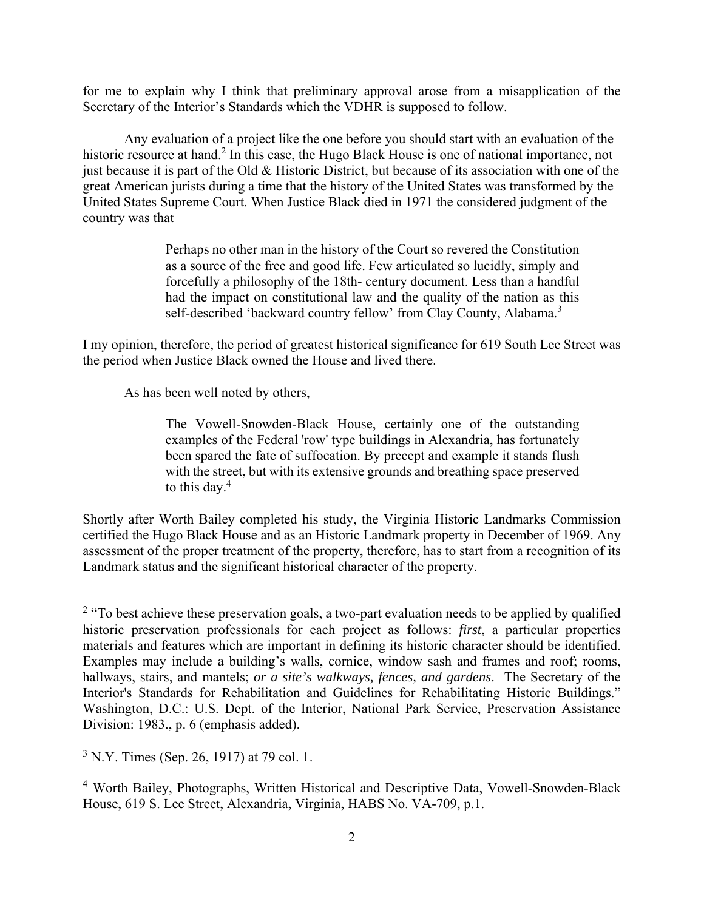for me to explain why I think that preliminary approval arose from a misapplication of the Secretary of the Interior's Standards which the VDHR is supposed to follow.

Any evaluation of a project like the one before you should start with an evaluation of the historic resource at hand.<sup>2</sup> In this case, the Hugo Black House is one of national importance, not just because it is part of the Old & Historic District, but because of its association with one of the great American jurists during a time that the history of the United States was transformed by the United States Supreme Court. When Justice Black died in 1971 the considered judgment of the country was that

> Perhaps no other man in the history of the Court so revered the Constitution as a source of the free and good life. Few articulated so lucidly, simply and forcefully a philosophy of the 18th- century document. Less than a handful had the impact on constitutional law and the quality of the nation as this self-described 'backward country fellow' from Clay County, Alabama.<sup>3</sup>

I my opinion, therefore, the period of greatest historical significance for 619 South Lee Street was the period when Justice Black owned the House and lived there.

As has been well noted by others,

The Vowell-Snowden-Black House, certainly one of the outstanding examples of the Federal 'row' type buildings in Alexandria, has fortunately been spared the fate of suffocation. By precept and example it stands flush with the street, but with its extensive grounds and breathing space preserved to this day.<sup>4</sup>

Shortly after Worth Bailey completed his study, the Virginia Historic Landmarks Commission certified the Hugo Black House and as an Historic Landmark property in December of 1969. Any assessment of the proper treatment of the property, therefore, has to start from a recognition of its Landmark status and the significant historical character of the property.

<u>.</u>

<sup>&</sup>lt;sup>2</sup> "To best achieve these preservation goals, a two-part evaluation needs to be applied by qualified historic preservation professionals for each project as follows: *first*, a particular properties materials and features which are important in defining its historic character should be identified. Examples may include a building's walls, cornice, window sash and frames and roof; rooms, hallways, stairs, and mantels; *or a site's walkways, fences, and gardens*. The Secretary of the Interior's Standards for Rehabilitation and Guidelines for Rehabilitating Historic Buildings." Washington, D.C.: U.S. Dept. of the Interior, National Park Service, Preservation Assistance Division: 1983., p. 6 (emphasis added).

 $3$  N.Y. Times (Sep. 26, 1917) at 79 col. 1.

<sup>4</sup> Worth Bailey, Photographs, Written Historical and Descriptive Data, Vowell-Snowden-Black House, 619 S. Lee Street, Alexandria, Virginia, HABS No. VA-709, p.1.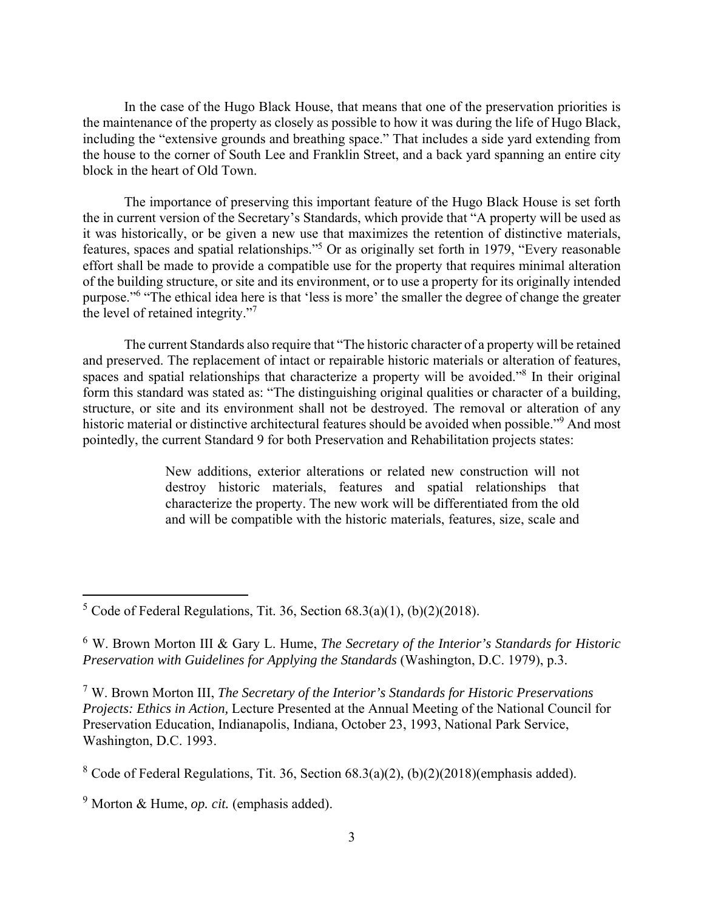In the case of the Hugo Black House, that means that one of the preservation priorities is the maintenance of the property as closely as possible to how it was during the life of Hugo Black, including the "extensive grounds and breathing space." That includes a side yard extending from the house to the corner of South Lee and Franklin Street, and a back yard spanning an entire city block in the heart of Old Town.

The importance of preserving this important feature of the Hugo Black House is set forth the in current version of the Secretary's Standards, which provide that "A property will be used as it was historically, or be given a new use that maximizes the retention of distinctive materials, features, spaces and spatial relationships."<sup>5</sup> Or as originally set forth in 1979, "Every reasonable effort shall be made to provide a compatible use for the property that requires minimal alteration of the building structure, or site and its environment, or to use a property for its originally intended purpose."<sup>6</sup> "The ethical idea here is that 'less is more' the smaller the degree of change the greater the level of retained integrity."<sup>7</sup>

The current Standards also require that "The historic character of a property will be retained and preserved. The replacement of intact or repairable historic materials or alteration of features, spaces and spatial relationships that characterize a property will be avoided."<sup>8</sup> In their original form this standard was stated as: "The distinguishing original qualities or character of a building, structure, or site and its environment shall not be destroyed. The removal or alteration of any historic material or distinctive architectural features should be avoided when possible."<sup>9</sup> And most pointedly, the current Standard 9 for both Preservation and Rehabilitation projects states:

> New additions, exterior alterations or related new construction will not destroy historic materials, features and spatial relationships that characterize the property. The new work will be differentiated from the old and will be compatible with the historic materials, features, size, scale and

<sup>&</sup>lt;sup>5</sup> Code of Federal Regulations, Tit. 36, Section  $68.3(a)(1)$ ,  $(b)(2)(2018)$ .

<sup>6</sup> W. Brown Morton III & Gary L. Hume, *The Secretary of the Interior's Standards for Historic Preservation with Guidelines for Applying the Standards* (Washington, D.C. 1979), p.3.

<sup>7</sup> W. Brown Morton III, *The Secretary of the Interior's Standards for Historic Preservations Projects: Ethics in Action,* Lecture Presented at the Annual Meeting of the National Council for Preservation Education, Indianapolis, Indiana, October 23, 1993, National Park Service, Washington, D.C. 1993.

<sup>&</sup>lt;sup>8</sup> Code of Federal Regulations, Tit. 36, Section  $68.3(a)(2)$ ,  $(b)(2)(2018)$ (emphasis added).

<sup>9</sup> Morton & Hume, *op. cit.* (emphasis added).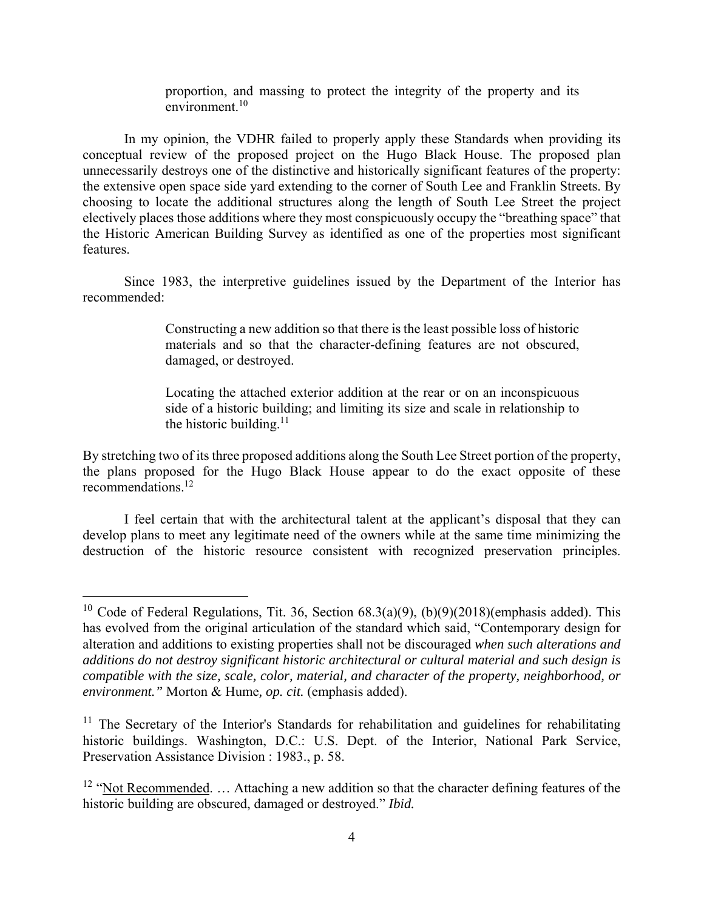proportion, and massing to protect the integrity of the property and its  $environment<sup>10</sup>$ 

 In my opinion, the VDHR failed to properly apply these Standards when providing its conceptual review of the proposed project on the Hugo Black House. The proposed plan unnecessarily destroys one of the distinctive and historically significant features of the property: the extensive open space side yard extending to the corner of South Lee and Franklin Streets. By choosing to locate the additional structures along the length of South Lee Street the project electively places those additions where they most conspicuously occupy the "breathing space" that the Historic American Building Survey as identified as one of the properties most significant features.

 Since 1983, the interpretive guidelines issued by the Department of the Interior has recommended:

> Constructing a new addition so that there is the least possible loss of historic materials and so that the character-defining features are not obscured, damaged, or destroyed.

> Locating the attached exterior addition at the rear or on an inconspicuous side of a historic building; and limiting its size and scale in relationship to the historic building. $11$

By stretching two of its three proposed additions along the South Lee Street portion of the property, the plans proposed for the Hugo Black House appear to do the exact opposite of these recommendations.12

I feel certain that with the architectural talent at the applicant's disposal that they can develop plans to meet any legitimate need of the owners while at the same time minimizing the destruction of the historic resource consistent with recognized preservation principles.

<sup>&</sup>lt;sup>10</sup> Code of Federal Regulations, Tit. 36, Section  $68.3(a)(9)$ ,  $(b)(9)(2018)$ (emphasis added). This has evolved from the original articulation of the standard which said, "Contemporary design for alteration and additions to existing properties shall not be discouraged *when such alterations and additions do not destroy significant historic architectural or cultural material and such design is compatible with the size, scale, color, material, and character of the property, neighborhood, or environment."* Morton & Hume*, op. cit.* (emphasis added).

 $11$  The Secretary of the Interior's Standards for rehabilitation and guidelines for rehabilitating historic buildings. Washington, D.C.: U.S. Dept. of the Interior, National Park Service, Preservation Assistance Division : 1983., p. 58.

<sup>&</sup>lt;sup>12</sup> "Not Recommended. ... Attaching a new addition so that the character defining features of the historic building are obscured, damaged or destroyed." *Ibid.*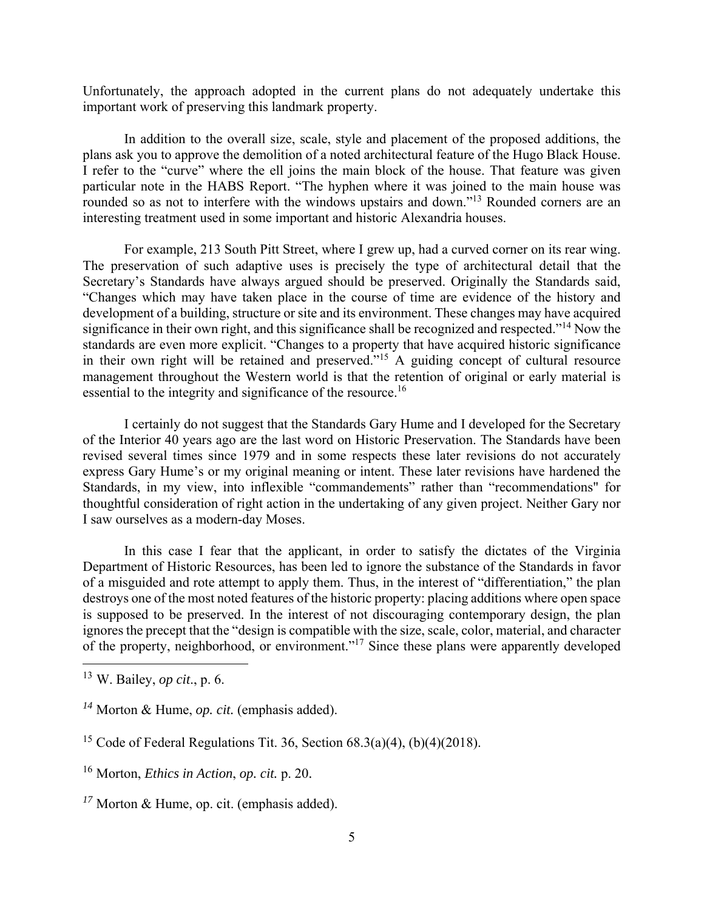Unfortunately, the approach adopted in the current plans do not adequately undertake this important work of preserving this landmark property.

 In addition to the overall size, scale, style and placement of the proposed additions, the plans ask you to approve the demolition of a noted architectural feature of the Hugo Black House. I refer to the "curve" where the ell joins the main block of the house. That feature was given particular note in the HABS Report. "The hyphen where it was joined to the main house was rounded so as not to interfere with the windows upstairs and down."<sup>13</sup> Rounded corners are an interesting treatment used in some important and historic Alexandria houses.

 For example, 213 South Pitt Street, where I grew up, had a curved corner on its rear wing. The preservation of such adaptive uses is precisely the type of architectural detail that the Secretary's Standards have always argued should be preserved. Originally the Standards said, "Changes which may have taken place in the course of time are evidence of the history and development of a building, structure or site and its environment. These changes may have acquired significance in their own right, and this significance shall be recognized and respected."14 Now the standards are even more explicit. "Changes to a property that have acquired historic significance in their own right will be retained and preserved."15 A guiding concept of cultural resource management throughout the Western world is that the retention of original or early material is essential to the integrity and significance of the resource.<sup>16</sup>

 I certainly do not suggest that the Standards Gary Hume and I developed for the Secretary of the Interior 40 years ago are the last word on Historic Preservation. The Standards have been revised several times since 1979 and in some respects these later revisions do not accurately express Gary Hume's or my original meaning or intent. These later revisions have hardened the Standards, in my view, into inflexible "commandements" rather than "recommendations" for thoughtful consideration of right action in the undertaking of any given project. Neither Gary nor I saw ourselves as a modern-day Moses.

 In this case I fear that the applicant, in order to satisfy the dictates of the Virginia Department of Historic Resources, has been led to ignore the substance of the Standards in favor of a misguided and rote attempt to apply them. Thus, in the interest of "differentiation," the plan destroys one of the most noted features of the historic property: placing additions where open space is supposed to be preserved. In the interest of not discouraging contemporary design, the plan ignores the precept that the "design is compatible with the size, scale, color, material, and character of the property, neighborhood, or environment."17 Since these plans were apparently developed

<sup>13</sup> W. Bailey, *op cit*., p. 6.

*<sup>14</sup>* Morton & Hume, *op. cit.* (emphasis added).

<sup>&</sup>lt;sup>15</sup> Code of Federal Regulations Tit. 36, Section  $68.3(a)(4)$ ,  $(b)(4)(2018)$ .

<sup>16</sup> Morton, *Ethics in Action*, *op. cit.* p. 20.

*<sup>17</sup>* Morton & Hume, op. cit. (emphasis added).